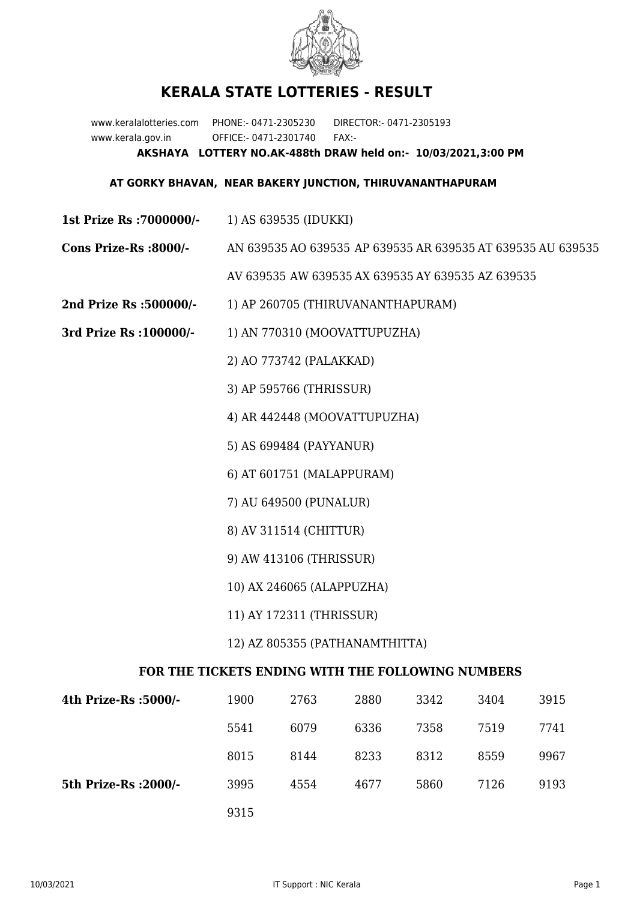

## **KERALA STATE LOTTERIES - RESULT**

www.keralalotteries.com PHONE:- 0471-2305230 DIRECTOR:- 0471-2305193 www.kerala.gov.in OFFICE:- 0471-2301740 FAX:- **AKSHAYA LOTTERY NO.AK-488th DRAW held on:- 10/03/2021,3:00 PM**

## **AT GORKY BHAVAN, NEAR BAKERY JUNCTION, THIRUVANANTHAPURAM**

- **1st Prize Rs :7000000/-** 1) AS 639535 (IDUKKI)
- **Cons Prize-Rs :8000/-** AN 639535 AO 639535 AP 639535 AR 639535 AT 639535 AU 639535 AV 639535 AW 639535 AX 639535 AY 639535 AZ 639535
- **2nd Prize Rs :500000/-** 1) AP 260705 (THIRUVANANTHAPURAM)
- **3rd Prize Rs :100000/-** 1) AN 770310 (MOOVATTUPUZHA)

2) AO 773742 (PALAKKAD)

3) AP 595766 (THRISSUR)

4) AR 442448 (MOOVATTUPUZHA)

5) AS 699484 (PAYYANUR)

6) AT 601751 (MALAPPURAM)

7) AU 649500 (PUNALUR)

- 8) AV 311514 (CHITTUR)
- 9) AW 413106 (THRISSUR)
- 10) AX 246065 (ALAPPUZHA)
- 11) AY 172311 (THRISSUR)

## 12) AZ 805355 (PATHANAMTHITTA)

## **FOR THE TICKETS ENDING WITH THE FOLLOWING NUMBERS**

| 4th Prize-Rs :5000/-  | 1900 | 2763 | 2880 | 3342 | 3404 | 3915 |
|-----------------------|------|------|------|------|------|------|
|                       | 5541 | 6079 | 6336 | 7358 | 7519 | 7741 |
|                       | 8015 | 8144 | 8233 | 8312 | 8559 | 9967 |
| 5th Prize-Rs : 2000/- | 3995 | 4554 | 4677 | 5860 | 7126 | 9193 |
|                       | 9315 |      |      |      |      |      |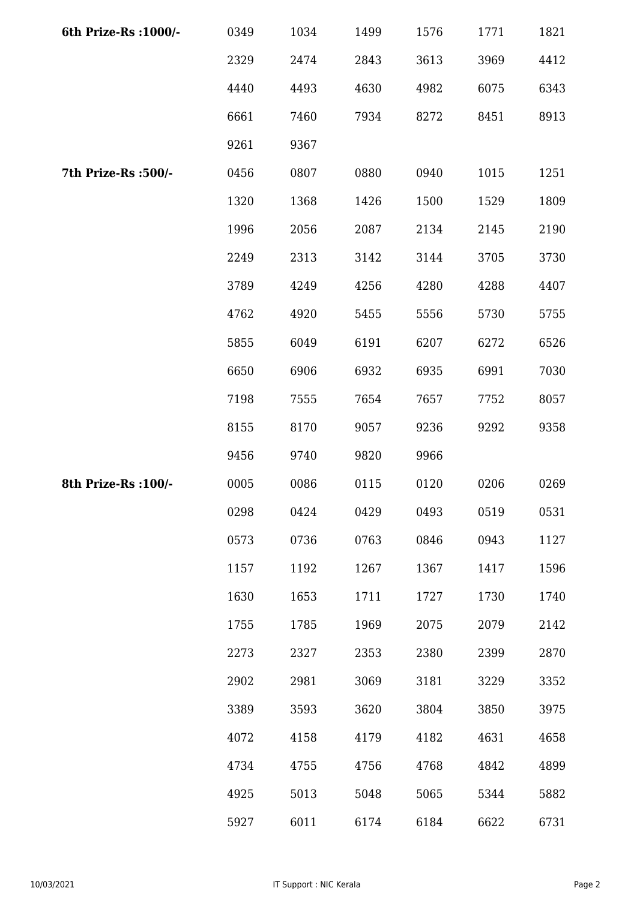| 6th Prize-Rs : 1000/- | 0349 | 1034 | 1499 | 1576 | 1771 | 1821 |
|-----------------------|------|------|------|------|------|------|
|                       | 2329 | 2474 | 2843 | 3613 | 3969 | 4412 |
|                       | 4440 | 4493 | 4630 | 4982 | 6075 | 6343 |
|                       | 6661 | 7460 | 7934 | 8272 | 8451 | 8913 |
|                       | 9261 | 9367 |      |      |      |      |
| 7th Prize-Rs :500/-   | 0456 | 0807 | 0880 | 0940 | 1015 | 1251 |
|                       | 1320 | 1368 | 1426 | 1500 | 1529 | 1809 |
|                       | 1996 | 2056 | 2087 | 2134 | 2145 | 2190 |
|                       | 2249 | 2313 | 3142 | 3144 | 3705 | 3730 |
|                       | 3789 | 4249 | 4256 | 4280 | 4288 | 4407 |
|                       | 4762 | 4920 | 5455 | 5556 | 5730 | 5755 |
|                       | 5855 | 6049 | 6191 | 6207 | 6272 | 6526 |
|                       | 6650 | 6906 | 6932 | 6935 | 6991 | 7030 |
|                       | 7198 | 7555 | 7654 | 7657 | 7752 | 8057 |
|                       | 8155 | 8170 | 9057 | 9236 | 9292 | 9358 |
|                       | 9456 | 9740 | 9820 | 9966 |      |      |
| 8th Prize-Rs : 100/-  | 0005 | 0086 | 0115 | 0120 | 0206 | 0269 |
|                       | 0298 | 0424 | 0429 | 0493 | 0519 | 0531 |
|                       | 0573 | 0736 | 0763 | 0846 | 0943 | 1127 |
|                       | 1157 | 1192 | 1267 | 1367 | 1417 | 1596 |
|                       | 1630 | 1653 | 1711 | 1727 | 1730 | 1740 |
|                       | 1755 | 1785 | 1969 | 2075 | 2079 | 2142 |
|                       | 2273 | 2327 | 2353 | 2380 | 2399 | 2870 |
|                       | 2902 | 2981 | 3069 | 3181 | 3229 | 3352 |
|                       | 3389 | 3593 | 3620 | 3804 | 3850 | 3975 |
|                       | 4072 | 4158 | 4179 | 4182 | 4631 | 4658 |
|                       | 4734 | 4755 | 4756 | 4768 | 4842 | 4899 |
|                       | 4925 | 5013 | 5048 | 5065 | 5344 | 5882 |
|                       | 5927 | 6011 | 6174 | 6184 | 6622 | 6731 |